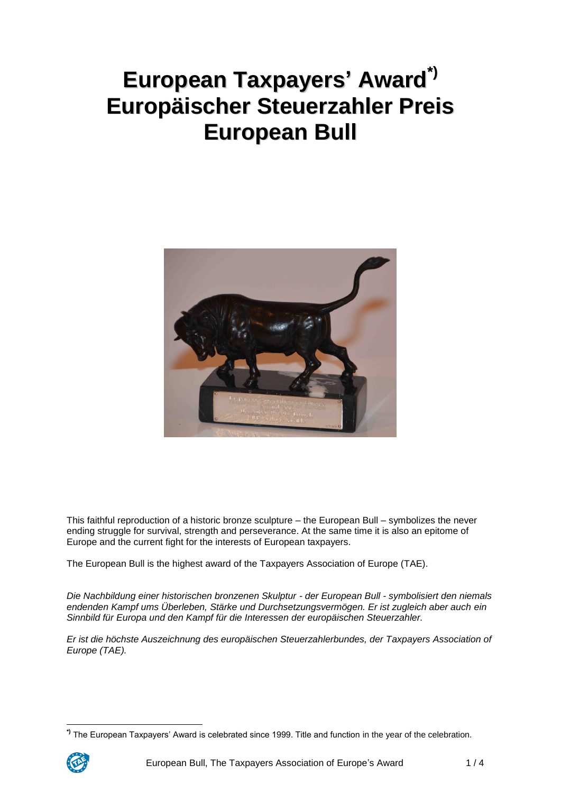# **European Taxpayers' Award \*) Europäischer Steuerzahler Preis European Bull**



This faithful reproduction of a historic bronze sculpture – the European Bull – symbolizes the never ending struggle for survival, strength and perseverance. At the same time it is also an epitome of Europe and the current fight for the interests of European taxpayers.

The European Bull is the highest award of the Taxpayers Association of Europe (TAE).

*Die Nachbildung einer historischen bronzenen Skulptur - der European Bull - symbolisiert den niemals endenden Kampf ums Überleben, Stärke und Durchsetzungsvermögen. Er ist zugleich aber auch ein Sinnbild für Europa und den Kampf für die Interessen der europäischen Steuerzahler.*

*Er ist die höchste Auszeichnung des europäischen Steuerzahlerbundes, der Taxpayers Association of Europe (TAE).*

 $\overline{a}$ **\*)** The European Taxpayers' Award is celebrated since 1999. Title and function in the year of the celebration.

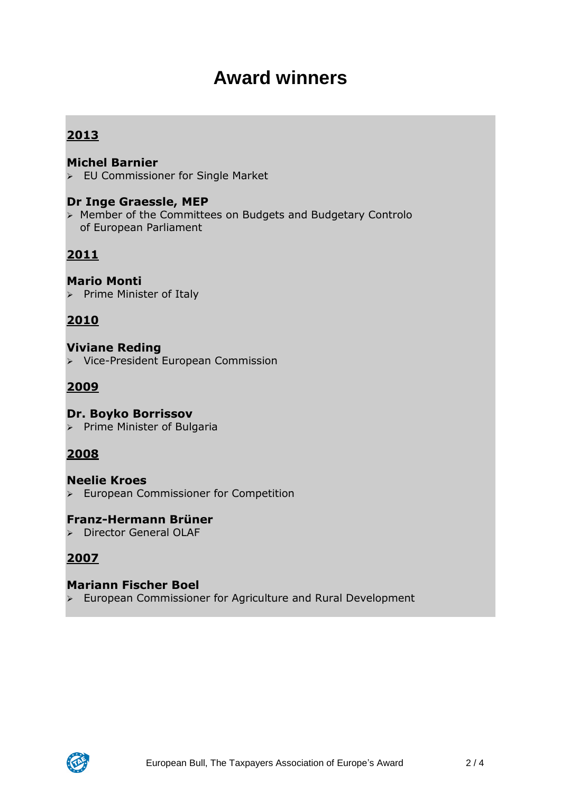## **Award winners**

## **2013**

#### **Michel Barnier**

EU Commissioner for Single Market

#### **Dr Inge Graessle, MEP**

 Member of the Committees on Budgets and Budgetary Controlo of European Parliament

## **2011**

#### **Mario Monti**

 $\triangleright$  Prime Minister of Italy

## **2010**

#### **Viviane Reding** > Vice-President European Commission

## **2009**

#### **Dr. Boyko Borrissov**

 $\triangleright$  Prime Minister of Bulgaria

## **2008**

#### **Neelie Kroes European Commissioner for Competition**

#### **Franz-Hermann Brüner**

Director General OLAF

## **2007**

#### **Mariann Fischer Boel**

 $\triangleright$  European Commissioner for Agriculture and Rural Development

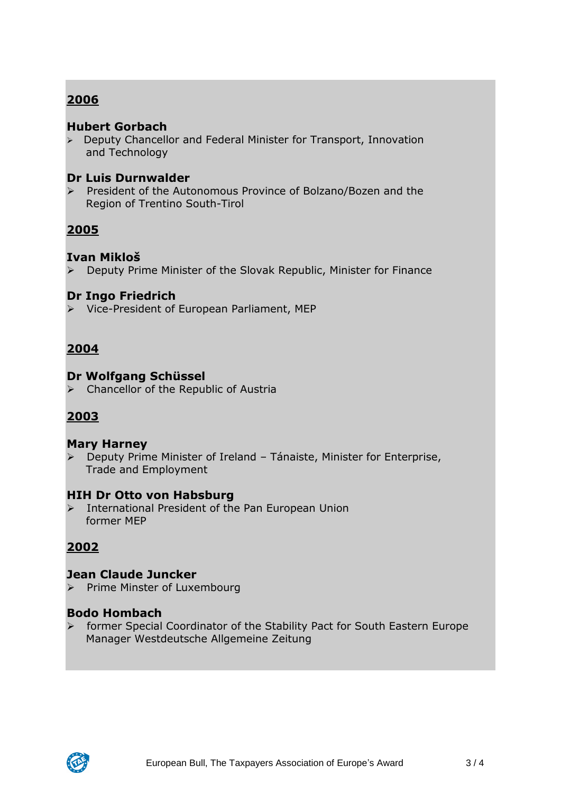## **2006**

#### **Hubert Gorbach**

 $\triangleright$  Deputy Chancellor and Federal Minister for Transport, Innovation and Technology

#### **Dr Luis Durnwalder**

 President of the Autonomous Province of Bolzano/Bozen and the Region of Trentino South-Tirol

## **2005**

#### **Ivan Mikloš**

Deputy Prime Minister of the Slovak Republic, Minister for Finance

#### **Dr Ingo Friedrich**

Vice-President of European Parliament, MEP

## **2004**

#### **Dr Wolfgang Schüssel**

 $\triangleright$  Chancellor of the Republic of Austria

## **2003**

#### **Mary Harney**

 Deputy Prime Minister of Ireland – Tánaiste, Minister for Enterprise, Trade and Employment

#### **HIH Dr Otto von Habsburg**

> International President of the Pan European Union former MEP

## **2002**

#### **Jean Claude Juncker**

> Prime Minster of Luxembourg

#### **Bodo Hombach**

 former Special Coordinator of the Stability Pact for South Eastern Europe Manager Westdeutsche Allgemeine Zeitung